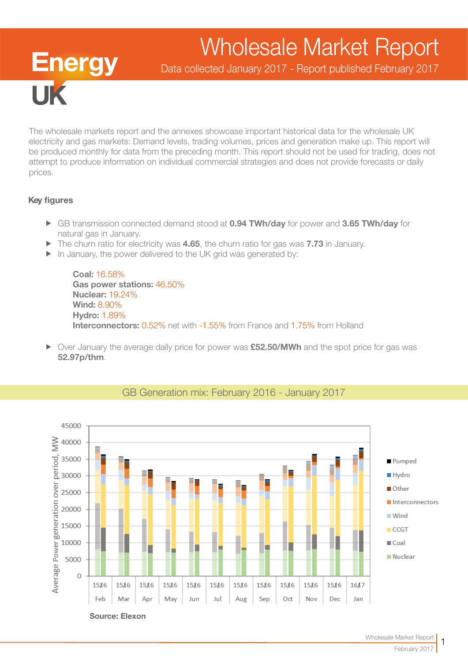# Wholesale Market Report

Data collected January 2017 - Report published February 2017

The wholesale markets report and the annexes showcase important historical data for the wholesale UK electricity and gas markets: Demand levels, trading volumes, prices and generation make up. This report will be produced monthly for data from the preceding month. This report should not be used for trading, does not attempt to produce information on individual commercial strategies and does not provide forecasts or daily prices.

## Key figures

UK

**Energy** 

- ► GB transmission connected demand stood at 0.94 TWh/day for power and 3.65 TWh/day for natural gas in January.
- $\blacktriangleright$  The churn ratio for electricity was 4.65, the churn ratio for gas was 7.73 in January.
- $\blacktriangleright$  In January, the power delivered to the UK grid was generated by:

Coal: 16.58% Gas power stations: 46.50% Nuclear: 19.24% Wind: 8.90% Hydro: 1.89% Interconnectors: 0.52% net with -1.55% from France and 1.75% from Holland

▶ Over January the average daily price for power was £52.50/MWh and the spot price for gas was 52.97p/thm.



## GB Generation mix: February 2016 - January 2017

Wholesale Market Report February 2017 1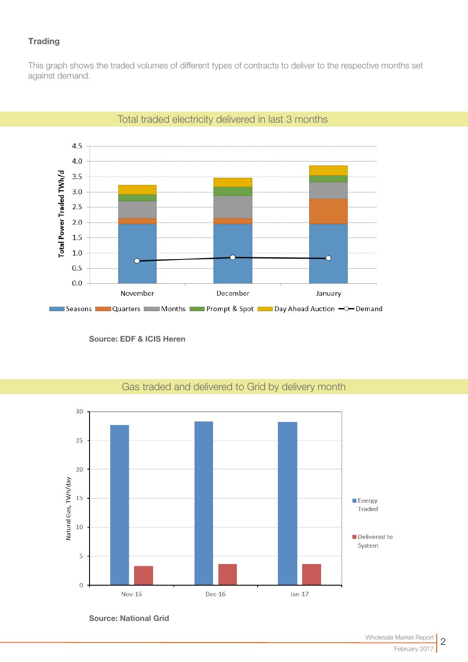## **Trading**

This graph shows the traded volumes of different types of contracts to deliver to the respective months set against demand.



# Total traded electricity delivered in last 3 months

Source: EDF & ICIS Heren



# Gas traded and delivered to Grid by delivery month

Source: National Grid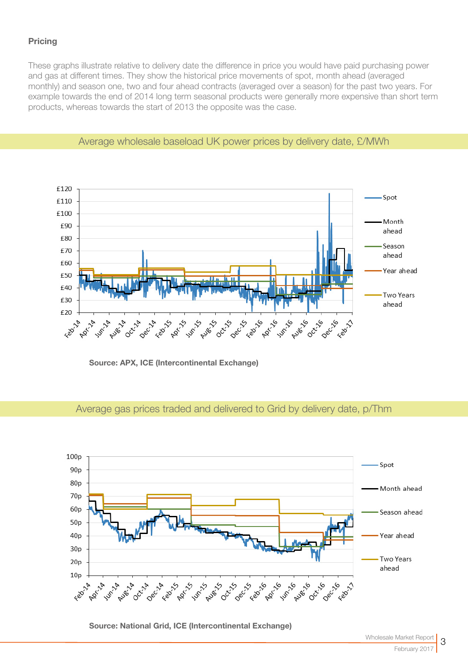## **Pricing**

These graphs illustrate relative to delivery date the difference in price you would have paid purchasing power and gas at different times. They show the historical price movements of spot, month ahead (averaged monthly) and season one, two and four ahead contracts (averaged over a season) for the past two years. For example towards the end of 2014 long term seasonal products were generally more expensive than short term products, whereas towards the start of 2013 the opposite was the case.



## Average wholesale baseload UK power prices by delivery date, £/MWh

Source: APX, ICE (Intercontinental Exchange)

## Average gas prices traded and delivered to Grid by delivery date, p/Thm



Source: National Grid, ICE (Intercontinental Exchange)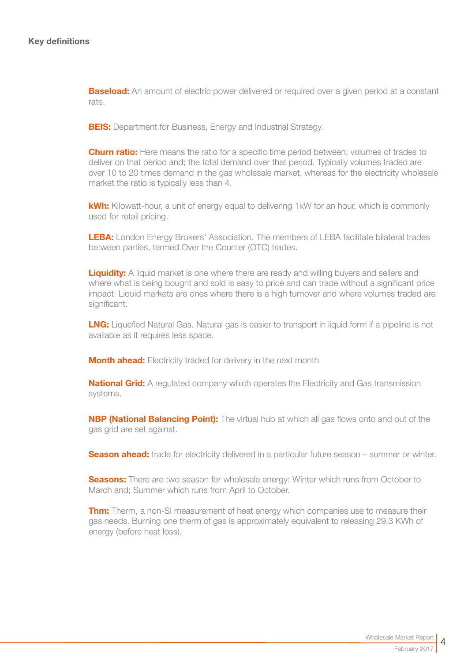**Baseload:** An amount of electric power delivered or required over a given period at a constant rate.

**BEIS:** Department for Business, Energy and Industrial Strategy.

**Churn ratio:** Here means the ratio for a specific time period between; volumes of trades to deliver on that period and; the total demand over that period. Typically volumes traded are over 10 to 20 times demand in the gas wholesale market, whereas for the electricity wholesale market the ratio is typically less than 4.

kWh: Kilowatt-hour, a unit of energy equal to delivering 1kW for an hour, which is commonly used for retail pricing.

LEBA: London Energy Brokers' Association. The members of LEBA facilitate bilateral trades between parties, termed Over the Counter (OTC) trades.

**Liquidity:** A liquid market is one where there are ready and willing buyers and sellers and where what is being bought and sold is easy to price and can trade without a significant price impact. Liquid markets are ones where there is a high turnover and where volumes traded are significant.

**LNG:** Liquefied Natural Gas. Natural gas is easier to transport in liquid form if a pipeline is not available as it requires less space.

**Month ahead:** Electricity traded for delivery in the next month

**National Grid:** A regulated company which operates the Electricity and Gas transmission systems.

**NBP (National Balancing Point):** The virtual hub at which all gas flows onto and out of the gas grid are set against.

**Season ahead:** trade for electricity delivered in a particular future season – summer or winter.

**Seasons:** There are two season for wholesale energy: Winter which runs from October to March and; Summer which runs from April to October.

**Thm:** Therm, a non-SI measurement of heat energy which companies use to measure their gas needs. Burning one therm of gas is approximately equivalent to releasing 29.3 KWh of energy (before heat loss).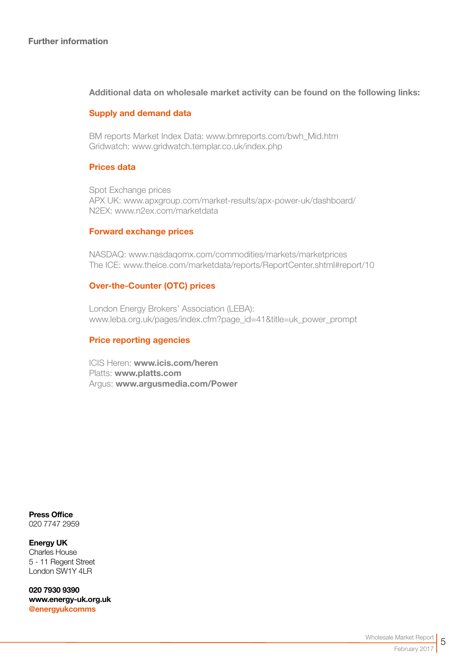## Further information

## Additional data on wholesale market activity can be found on the following links:

## Supply and demand data

BM reports Market Index Data[: www.bmreports.com/bwh\\_Mid.htm](http://www.bmreports.com/bwh_Mid.htm)  Gridwatch[: www.gridwatch.templar.co.uk/index.php](http://www.gridwatch.templar.co.uk/index.php)

## Prices data

Spot Exchange prices APX UK: [www.apxgroup.com/market-results/apx-power-uk/dashboard/](http://www.apxgroup.com/market-results/apx-power-uk/dashboard/ )  N2EX: [www.n2ex.com/marketdata](http://www.nordpoolspot.com/Market-data1/N2EX/) 

#### Forward exchange prices

NASDAQ: [www.nasdaqomx.com/commodities/markets/marketprices](http://www.nasdaqomx.com/commodities/markets/marketprices )  The ICE: [www.theice.com/marketdata/reports/ReportCenter.shtml#report/10](http://www.theice.com/marketdata/reports/ReportCenter.shtml#report/10 )

## Over-the-Counter (OTC) prices

London Energy Brokers' Association (LEBA): [www.leba.org.uk/pages/index.cfm?page\\_id=41&title=uk\\_power\\_prompt](http://www.leba.org.uk/pages/index.cfm?page_id=41&title=uk_power_prompt 
) 

## Price reporting agencies

ICIS Heren: [www.icis.com/heren](http://www.icis.com/heren)  Platts: [www.platts.com](http://www.platts.com/) Argus: [www.argusmedia.com/Power](http://www.argusmedia.com/Power)

Press Office 020 7747 2959

Energy UK Charles House 5 - 11 Regent Street London SW1Y 4LR

020 7930 9390 [www.energy-uk.org.uk](http://www.energy-uk.org.uk) [@energyukcomms](http://twitter.com/EnergyUKcomms)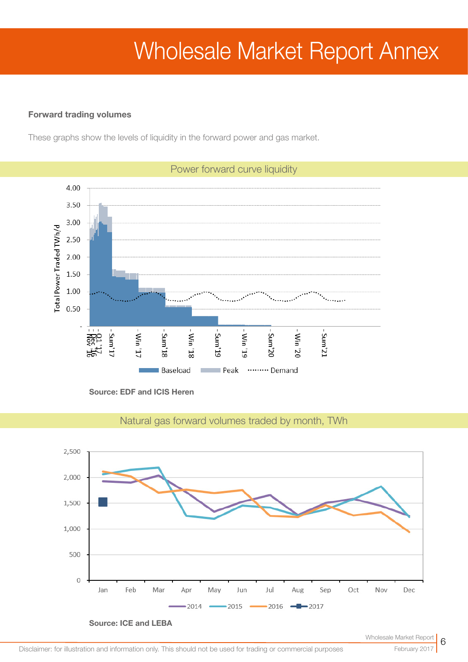# Wholesale Market Report Annex

## Forward trading volumes

These graphs show the levels of liquidity in the forward power and gas market.



Source: EDF and ICIS Heren



Natural gas forward volumes traded by month, TWh

February 2017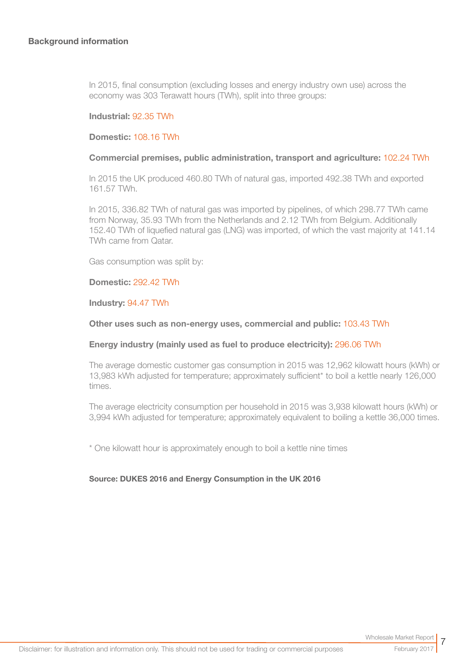In 2015, final consumption (excluding losses and energy industry own use) across the economy was 303 Terawatt hours (TWh), split into three groups:

#### Industrial: 92.35 TWh

#### Domestic: 108.16 TWh

#### Commercial premises, public administration, transport and agriculture: 102.24 TWh

In 2015 the UK produced 460.80 TWh of natural gas, imported 492.38 TWh and exported 161.57 TWh.

In 2015, 336.82 TWh of natural gas was imported by pipelines, of which 298.77 TWh came from Norway, 35.93 TWh from the Netherlands and 2.12 TWh from Belgium. Additionally 152.40 TWh of liquefied natural gas (LNG) was imported, of which the vast majority at 141.14 TWh came from Qatar.

Gas consumption was split by:

#### Domestic: 292.42 TWh

#### Industry: 94.47 TWh

#### Other uses such as non-energy uses, commercial and public: 103.43 TWh

#### Energy industry (mainly used as fuel to produce electricity): 296.06 TWh

The average domestic customer gas consumption in 2015 was 12,962 kilowatt hours (kWh) or 13,983 kWh adjusted for temperature; approximately sufficient\* to boil a kettle nearly 126,000 times.

The average electricity consumption per household in 2015 was 3,938 kilowatt hours (kWh) or 3,994 kWh adjusted for temperature; approximately equivalent to boiling a kettle 36,000 times.

\* One kilowatt hour is approximately enough to boil a kettle nine times

#### Source: DUKES 2016 and Energy Consumption in the UK 2016

7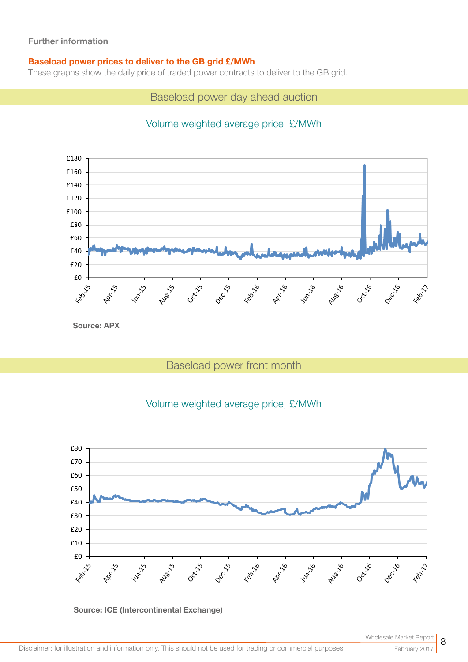## Further information

## Baseload power prices to deliver to the GB grid £/MWh

These graphs show the daily price of traded power contracts to deliver to the GB grid.

Baseload power day ahead auction

# Volume weighted average price, £/MWh



Source: APX

# Baseload power front month

# Volume weighted average price, £/MWh



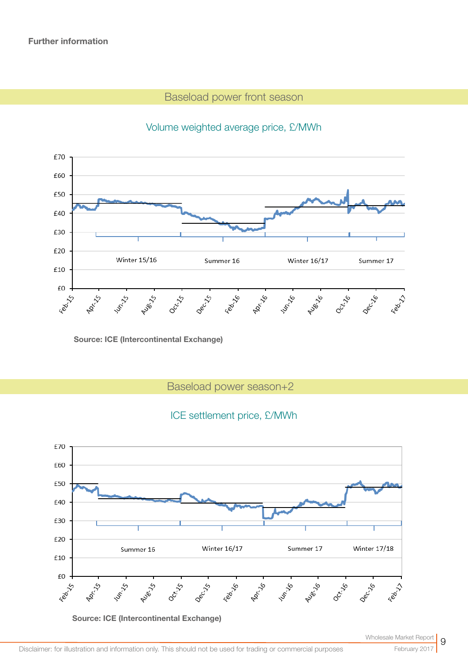# Baseload power front season



# Volume weighted average price, £/MWh

Source: ICE (Intercontinental Exchange)

Baseload power season+2

## ICE settlement price, £/MWh



Source: ICE (Intercontinental Exchange)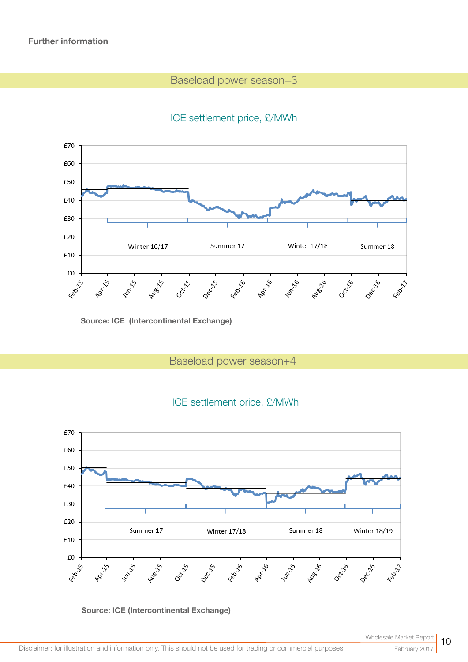# Baseload power season+3

# ICE settlement price, £/MWh



Source: ICE (Intercontinental Exchange)

Baseload power season+4





Source: ICE (Intercontinental Exchange)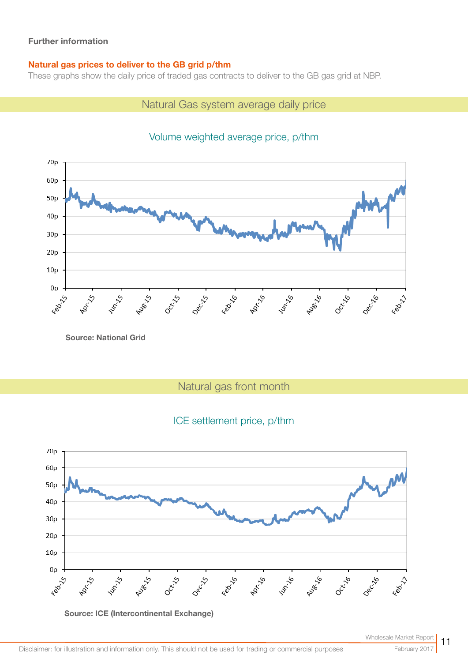## Further information

## Natural gas prices to deliver to the GB grid p/thm

These graphs show the daily price of traded gas contracts to deliver to the GB gas grid at NBP.

## Natural Gas system average daily price



# Volume weighted average price, p/thm

Source: National Grid

Natural gas front month

# ICE settlement price, p/thm



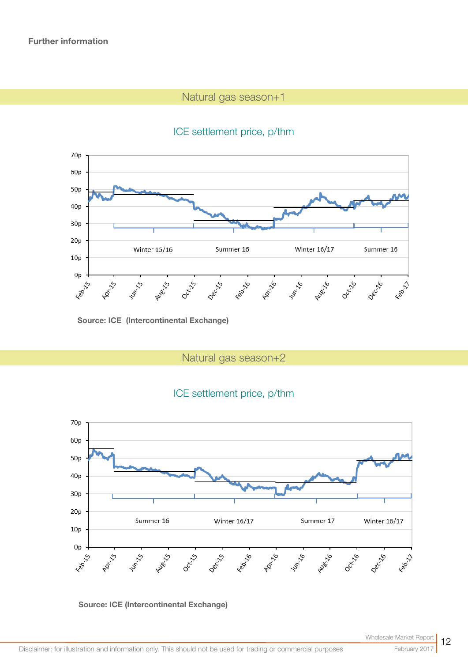# Natural gas season+1





Source: ICE (Intercontinental Exchange)

Natural gas season+2





#### Source: ICE (Intercontinental Exchange)